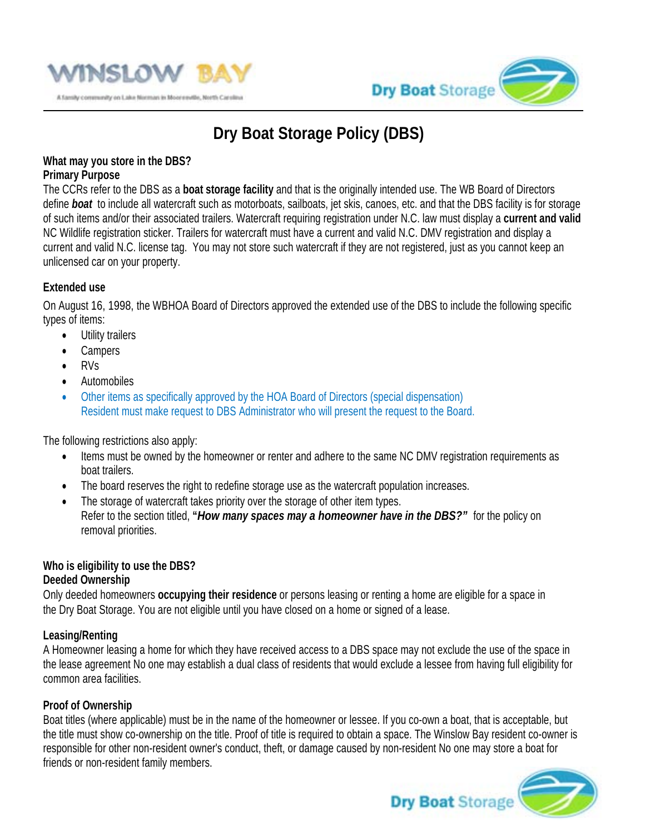



# **Dry Boat Storage Policy (DBS)**

#### **What may you store in the DBS? Primary Purpose**

The CCRs refer to the DBS as a **boat storage facility** and that is the originally intended use. The WB Board of Directors define *boat* to include all watercraft such as motorboats, sailboats, jet skis, canoes, etc. and that the DBS facility is for storage of such items and/or their associated trailers. Watercraft requiring registration under N.C. law must display a **current and valid**  NC Wildlife registration sticker. Trailers for watercraft must have a current and valid N.C. DMV registration and display a current and valid N.C. license tag. You may not store such watercraft if they are not registered, just as you cannot keep an unlicensed car on your property.

## **Extended use**

On August 16, 1998, the WBHOA Board of Directors approved the extended use of the DBS to include the following specific types of items:

- Utility trailers
- Campers
- RVs
- Automobiles
- Other items as specifically approved by the HOA Board of Directors (special dispensation) Resident must make request to DBS Administrator who will present the request to the Board.

The following restrictions also apply:

- Items must be owned by the homeowner or renter and adhere to the same NC DMV registration requirements as boat trailers.
- The board reserves the right to redefine storage use as the watercraft population increases.
- The storage of watercraft takes priority over the storage of other item types. Refer to the section titled, **"***How many spaces may a homeowner have in the DBS?"* for the policy on removal priorities.

# **Who is eligibility to use the DBS?**

## **Deeded Ownership**

Only deeded homeowners **occupying their residence** or persons leasing or renting a home are eligible for a space in the Dry Boat Storage. You are not eligible until you have closed on a home or signed of a lease.

## **Leasing/Renting**

A Homeowner leasing a home for which they have received access to a DBS space may not exclude the use of the space in the lease agreement No one may establish a dual class of residents that would exclude a lessee from having full eligibility for common area facilities.

## **Proof of Ownership**

Boat titles (where applicable) must be in the name of the homeowner or lessee. If you co-own a boat, that is acceptable, but the title must show co-ownership on the title. Proof of title is required to obtain a space. The Winslow Bay resident co-owner is responsible for other non-resident owner's conduct, theft, or damage caused by non-resident No one may store a boat for friends or non-resident family members.

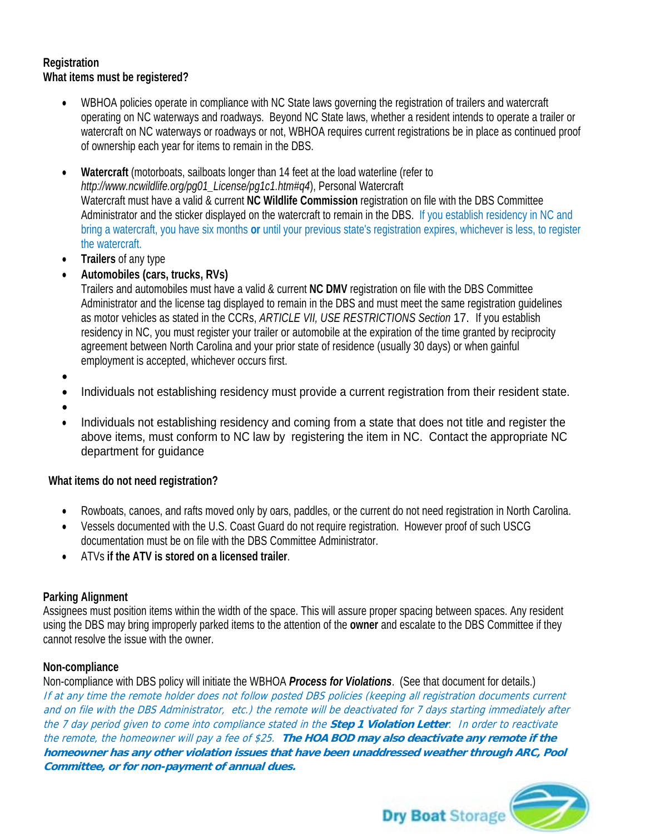### **Registration What items must be registered?**

- WBHOA policies operate in compliance with NC State laws governing the registration of trailers and watercraft operating on NC waterways and roadways. Beyond NC State laws, whether a resident intends to operate a trailer or watercraft on NC waterways or roadways or not, WBHOA requires current registrations be in place as continued proof of ownership each year for items to remain in the DBS.
- **Watercraft** (motorboats, sailboats longer than 14 feet at the load waterline (refer to *http://www.ncwildlife.org/pg01\_License/pg1c1.htm#q4*), Personal Watercraft Watercraft must have a valid & current **NC Wildlife Commission** registration on file with the DBS Committee Administrator and the sticker displayed on the watercraft to remain in the DBS. If you establish residency in NC and bring a watercraft, you have six months **or** until your previous state's registration expires, whichever is less, to register the watercraft.
- **Trailers** of any type
- **Automobiles (cars, trucks, RVs)**

Trailers and automobiles must have a valid & current **NC DMV** registration on file with the DBS Committee Administrator and the license tag displayed to remain in the DBS and must meet the same registration guidelines as motor vehicles as stated in the CCRs, *ARTICLE VII, USE RESTRICTIONS Section* 17. If you establish residency in NC, you must register your trailer or automobile at the expiration of the time granted by reciprocity agreement between North Carolina and your prior state of residence (usually 30 days) or when gainful employment is accepted, whichever occurs first.

- •
- Individuals not establishing residency must provide a current registration from their resident state.
- •
- Individuals not establishing residency and coming from a state that does not title and register the above items, must conform to NC law by registering the item in NC. Contact the appropriate NC department for guidance

#### **What items do not need registration?**

- Rowboats, canoes, and rafts moved only by oars, paddles, or the current do not need registration in North Carolina.
- Vessels documented with the U.S. Coast Guard do not require registration. However proof of such USCG documentation must be on file with the DBS Committee Administrator.
- ATVs **if the ATV is stored on a licensed trailer**.

#### **Parking Alignment**

Assignees must position items within the width of the space. This will assure proper spacing between spaces. Any resident using the DBS may bring improperly parked items to the attention of the **owner** and escalate to the DBS Committee if they cannot resolve the issue with the owner.

#### **Non-compliance**

Non-compliance with DBS policy will initiate the WBHOA *Process for Violations*. (See that document for details.) If at any time the remote holder does not follow posted DBS policies (keeping all registration documents current and on file with the DBS Administrator, etc.) the remote will be deactivated for 7 days starting immediately after the 7 day period given to come into compliance stated in the **Step 1 Violation Letter**. In order to reactivate the remote, the homeowner will pay a fee of \$25. **The HOA BOD may also deactivate any remote if the homeowner has any other violation issues that have been unaddressed weather through ARC, Pool Committee, or for non-payment of annual dues.**